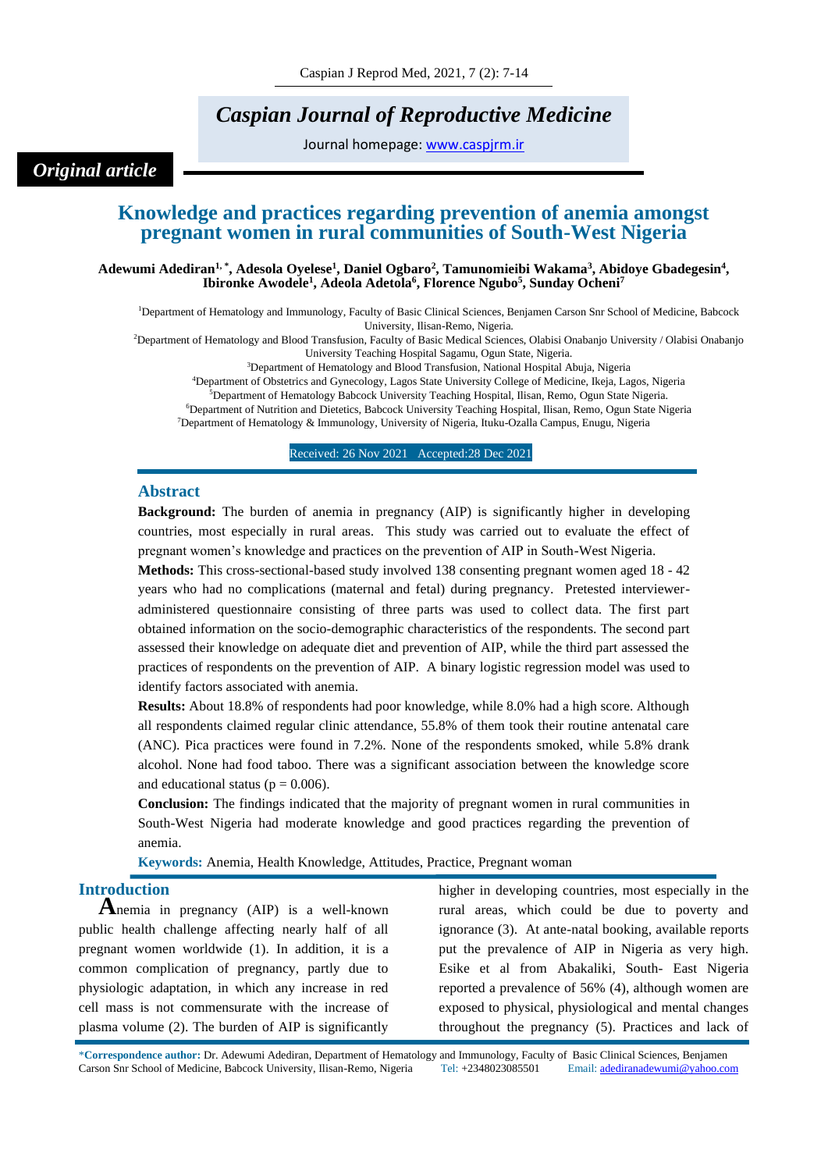# *Caspian Journal of Reproductive Medicine*

Journal homepage: [www.caspjrm.ir](http://www.caspjrm.ir/)

## *Original article*

## **Knowledge and practices regarding prevention of anemia amongst pregnant women in rural communities of South-West Nigeria**

**Adewumi Adediran1, \* , Adesola Oyelese<sup>1</sup> , Daniel Ogbaro<sup>2</sup> , Tamunomieibi Wakama<sup>3</sup> , Abidoye Gbadegesin<sup>4</sup> , Ibironke Awodele<sup>1</sup> , Adeola Adetola<sup>6</sup> , Florence Ngubo<sup>5</sup> , Sunday Ocheni<sup>7</sup>**

<sup>1</sup>Department of Hematology and Immunology, Faculty of Basic Clinical Sciences, Benjamen Carson Snr School of Medicine, Babcock University, Ilisan-Remo, Nigeria.

<sup>2</sup>Department of Hematology and Blood Transfusion, Faculty of Basic Medical Sciences, Olabisi Onabanjo University / Olabisi Onabanjo

University Teaching Hospital Sagamu, Ogun State, Nigeria.

<sup>3</sup>Department of Hematology and Blood Transfusion, National Hospital Abuja, Nigeria <sup>4</sup>Department of Obstetrics and Gynecology, Lagos State University College of Medicine, Ikeja, Lagos, Nigeria

<sup>5</sup>Department of Hematology Babcock University Teaching Hospital, Ilisan, Remo, Ogun State Nigeria.

<sup>6</sup>Department of Nutrition and Dietetics, Babcock University Teaching Hospital, Ilisan, Remo, Ogun State Nigeria

<sup>7</sup>Department of Hematology & Immunology, University of Nigeria, Ituku-Ozalla Campus, Enugu, Nigeria

Received: 26 Nov 2021 Accepted: 28 Dec 2021

#### **Abstract**

**Background:** The burden of anemia in pregnancy (AIP) is significantly higher in developing countries, most especially in rural areas. This study was carried out to evaluate the effect of pregnant women's knowledge and practices on the prevention of AIP in South-West Nigeria.

**Methods:** This cross-sectional-based study involved 138 consenting pregnant women aged 18 - 42 years who had no complications (maternal and fetal) during pregnancy. Pretested intervieweradministered questionnaire consisting of three parts was used to collect data. The first part obtained information on the socio-demographic characteristics of the respondents. The second part assessed their knowledge on adequate diet and prevention of AIP, while the third part assessed the practices of respondents on the prevention of AIP. A binary logistic regression model was used to identify factors associated with anemia.

**Results:** About 18.8% of respondents had poor knowledge, while 8.0% had a high score. Although all respondents claimed regular clinic attendance, 55.8% of them took their routine antenatal care (ANC). Pica practices were found in 7.2%. None of the respondents smoked, while 5.8% drank alcohol. None had food taboo. There was a significant association between the knowledge score and educational status ( $p = 0.006$ ).

**Conclusion:** The findings indicated that the majority of pregnant women in rural communities in South-West Nigeria had moderate knowledge and good practices regarding the prevention of anemia.

**Keywords:** Anemia, Health Knowledge, Attitudes, Practice, Pregnant woman

## **Introduction**

**A**nemia in pregnancy (AIP) is a well-known public health challenge affecting nearly half of all pregnant women worldwide (1). In addition, it is a common complication of pregnancy, partly due to physiologic adaptation, in which any increase in red cell mass is not commensurate with the increase of plasma volume (2). The burden of AIP is significantly

higher in developing countries, most especially in the rural areas, which could be due to poverty and ignorance (3). At ante-natal booking, available reports put the prevalence of AIP in Nigeria as very high. Esike et al from Abakaliki, South- East Nigeria reported a prevalence of 56% (4), although women are exposed to physical, physiological and mental changes throughout the pregnancy (5). Practices and lack of

\***Correspondence author:** Dr. Adewumi Adediran, Department of Hematology and Immunology, Faculty of Basic Clinical Sciences, Benjamen Carson Snr School of Medicine, Babcock University, Ilisan-Remo, Nigeria Tel: +2348023085501 Email[: adediranadewumi@yahoo.com](mailto:adediranadewumi@yahoo.com)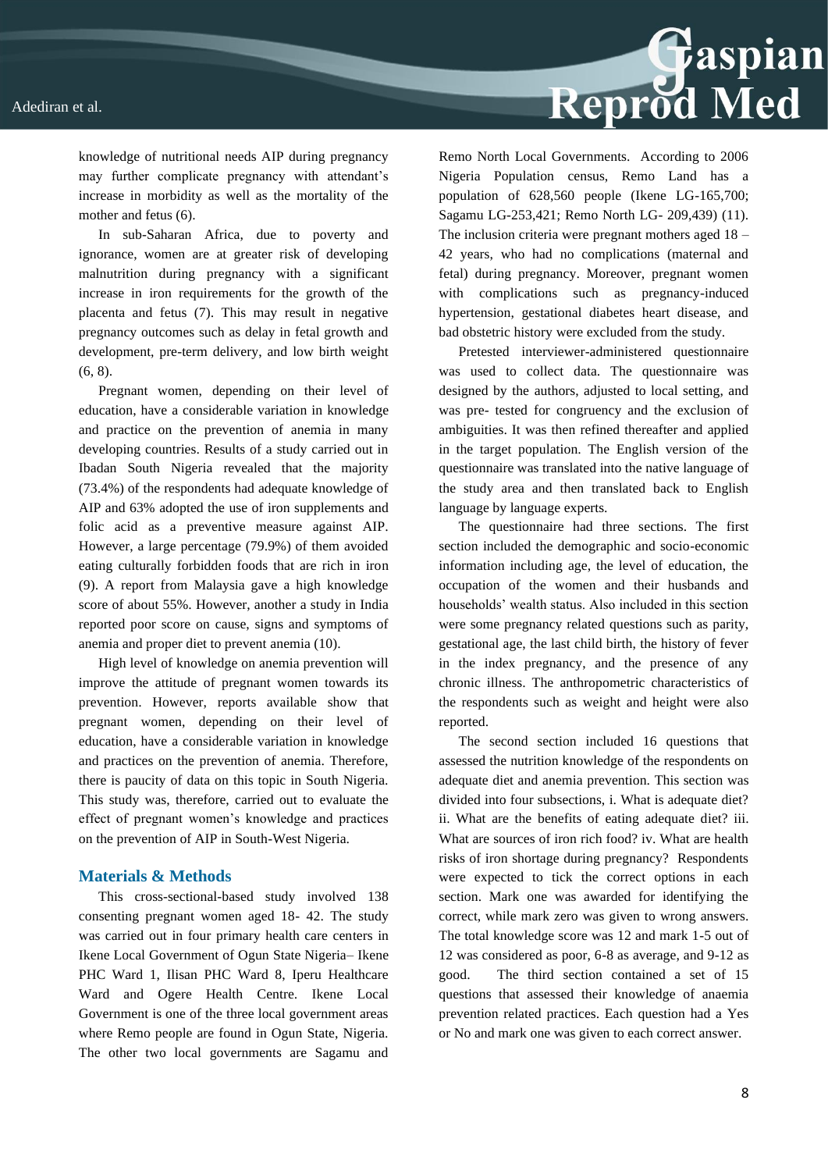## Adediran et al.



knowledge of nutritional needs AIP during pregnancy may further complicate pregnancy with attendant's increase in morbidity as well as the mortality of the mother and fetus (6).

In sub-Saharan Africa, due to poverty and ignorance, women are at greater risk of developing malnutrition during pregnancy with a significant increase in iron requirements for the growth of the placenta and fetus (7). This may result in negative pregnancy outcomes such as delay in fetal growth and development, pre-term delivery, and low birth weight (6, 8).

Pregnant women, depending on their level of education, have a considerable variation in knowledge and practice on the prevention of anemia in many developing countries. Results of a study carried out in Ibadan South Nigeria revealed that the majority (73.4%) of the respondents had adequate knowledge of AIP and 63% adopted the use of iron supplements and folic acid as a preventive measure against AIP. However, a large percentage (79.9%) of them avoided eating culturally forbidden foods that are rich in iron (9). A report from Malaysia gave a high knowledge score of about 55%. However, another a study in India reported poor score on cause, signs and symptoms of anemia and proper diet to prevent anemia (10).

High level of knowledge on anemia prevention will improve the attitude of pregnant women towards its prevention. However, reports available show that pregnant women, depending on their level of education, have a considerable variation in knowledge and practices on the prevention of anemia. Therefore, there is paucity of data on this topic in South Nigeria. This study was, therefore, carried out to evaluate the effect of pregnant women's knowledge and practices on the prevention of AIP in South-West Nigeria.

## **Materials & Methods**

This cross-sectional-based study involved 138 consenting pregnant women aged 18- 42. The study was carried out in four primary health care centers in Ikene Local Government of Ogun State Nigeria– Ikene PHC Ward 1, Ilisan PHC Ward 8, Iperu Healthcare Ward and Ogere Health Centre. Ikene Local Government is one of the three local government areas where Remo people are found in Ogun State, Nigeria. The other two local governments are Sagamu and

Remo North Local Governments. According to 2006 Nigeria Population census, Remo Land has a population of 628,560 people (Ikene LG-165,700; Sagamu LG-253,421; Remo North LG- 209,439) (11). The inclusion criteria were pregnant mothers aged 18 – 42 years, who had no complications (maternal and fetal) during pregnancy. Moreover, pregnant women with complications such as pregnancy-induced hypertension, gestational diabetes heart disease, and bad obstetric history were excluded from the study.

Pretested interviewer-administered questionnaire was used to collect data. The questionnaire was designed by the authors, adjusted to local setting, and was pre- tested for congruency and the exclusion of ambiguities. It was then refined thereafter and applied in the target population. The English version of the questionnaire was translated into the native language of the study area and then translated back to English language by language experts.

The questionnaire had three sections. The first section included the demographic and socio-economic information including age, the level of education, the occupation of the women and their husbands and households' wealth status. Also included in this section were some pregnancy related questions such as parity, gestational age, the last child birth, the history of fever in the index pregnancy, and the presence of any chronic illness. The anthropometric characteristics of the respondents such as weight and height were also reported.

The second section included 16 questions that assessed the nutrition knowledge of the respondents on adequate diet and anemia prevention. This section was divided into four subsections, i. What is adequate diet? ii. What are the benefits of eating adequate diet? iii. What are sources of iron rich food? iv. What are health risks of iron shortage during pregnancy? Respondents were expected to tick the correct options in each section. Mark one was awarded for identifying the correct, while mark zero was given to wrong answers. The total knowledge score was 12 and mark 1-5 out of 12 was considered as poor, 6-8 as average, and 9-12 as good. The third section contained a set of 15 questions that assessed their knowledge of anaemia prevention related practices. Each question had a Yes or No and mark one was given to each correct answer.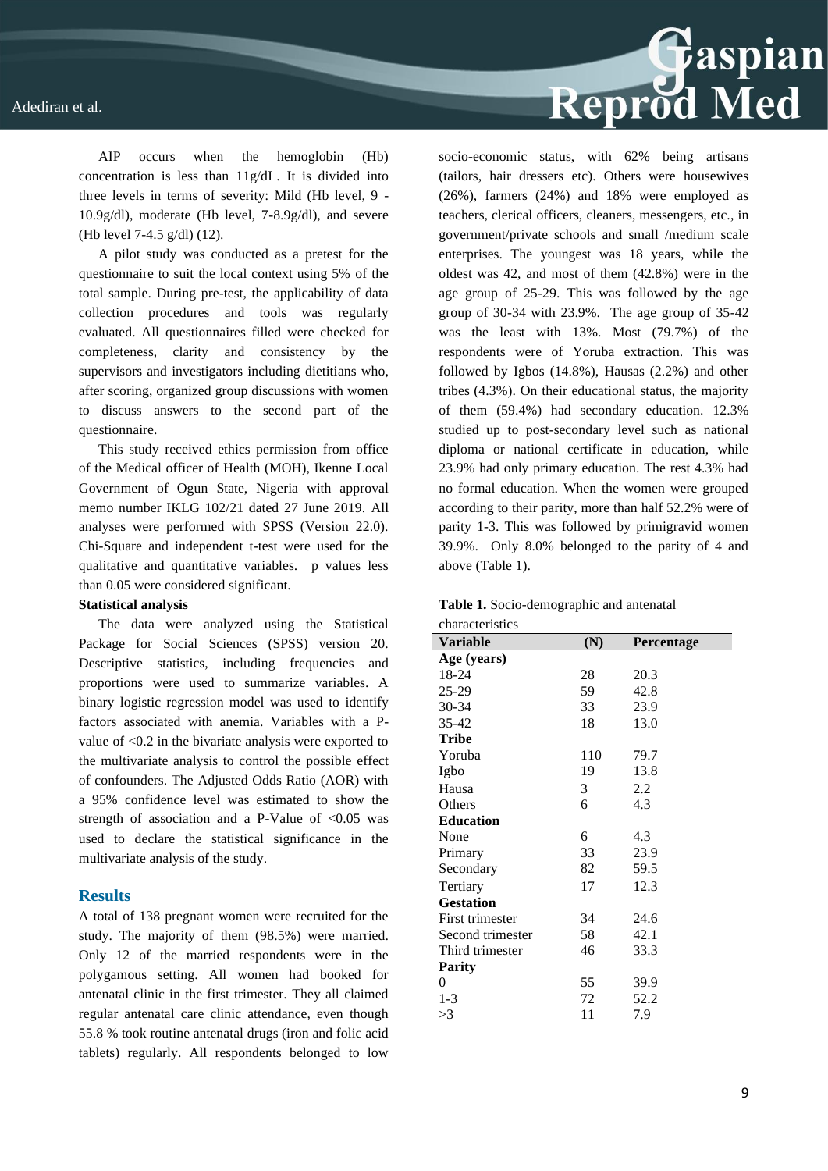

AIP occurs when the hemoglobin (Hb) concentration is less than 11g/dL. It is divided into three levels in terms of severity: Mild (Hb level, 9 - 10.9g/dl), moderate (Hb level, 7-8.9g/dl), and severe (Hb level 7-4.5 g/dl) (12).

A pilot study was conducted as a pretest for the questionnaire to suit the local context using 5% of the total sample. During pre-test, the applicability of data collection procedures and tools was regularly evaluated. All questionnaires filled were checked for completeness, clarity and consistency by the supervisors and investigators including dietitians who, after scoring, organized group discussions with women to discuss answers to the second part of the questionnaire.

This study received ethics permission from office of the Medical officer of Health (MOH), Ikenne Local Government of Ogun State, Nigeria with approval memo number IKLG 102/21 dated 27 June 2019. All analyses were performed with SPSS (Version 22.0). Chi-Square and independent t-test were used for the qualitative and quantitative variables. p values less than 0.05 were considered significant.

#### **Statistical analysis**

The data were analyzed using the Statistical Package for Social Sciences (SPSS) version 20. Descriptive statistics, including frequencies and proportions were used to summarize variables. A binary logistic regression model was used to identify factors associated with anemia. Variables with a Pvalue of <0.2 in the bivariate analysis were exported to the multivariate analysis to control the possible effect of confounders. The Adjusted Odds Ratio (AOR) with a 95% confidence level was estimated to show the strength of association and a P-Value of  $\langle 0.05 \rangle$  was used to declare the statistical significance in the multivariate analysis of the study.

### **Results**

A total of 138 pregnant women were recruited for the study. The majority of them (98.5%) were married. Only 12 of the married respondents were in the polygamous setting. All women had booked for antenatal clinic in the first trimester. They all claimed regular antenatal care clinic attendance, even though 55.8 % took routine antenatal drugs (iron and folic acid tablets) regularly. All respondents belonged to low

socio-economic status, with 62% being artisans (tailors, hair dressers etc). Others were housewives (26%), farmers (24%) and 18% were employed as teachers, clerical officers, cleaners, messengers, etc., in government/private schools and small /medium scale enterprises. The youngest was 18 years, while the oldest was 42, and most of them (42.8%) were in the age group of 25-29. This was followed by the age group of 30-34 with 23.9%. The age group of 35-42 was the least with 13%. Most (79.7%) of the respondents were of Yoruba extraction. This was followed by Igbos (14.8%), Hausas (2.2%) and other tribes (4.3%). On their educational status, the majority of them (59.4%) had secondary education. 12.3% studied up to post-secondary level such as national diploma or national certificate in education, while 23.9% had only primary education. The rest 4.3% had no formal education. When the women were grouped according to their parity, more than half 52.2% were of parity 1-3. This was followed by primigravid women 39.9%. Only 8.0% belonged to the parity of 4 and above (Table 1).

| characteristics  |     |                   |  |
|------------------|-----|-------------------|--|
| <b>Variable</b>  | (N) | <b>Percentage</b> |  |
| Age (years)      |     |                   |  |
| 18-24            | 28  | 20.3              |  |
| 25-29            | 59  | 42.8              |  |
| 30-34            | 33  | 23.9              |  |
| $35 - 42$        | 18  | 13.0              |  |
| <b>Tribe</b>     |     |                   |  |
| Yoruba           | 110 | 79.7              |  |
| Igbo             | 19  | 13.8              |  |
| Hausa            | 3   | 2.2               |  |
| Others           | 6   | 4.3               |  |
| <b>Education</b> |     |                   |  |
| None             | 6   | 4.3               |  |
| Primary          | 33  | 23.9              |  |
| Secondary        | 82  | 59.5              |  |
| Tertiary         | 17  | 12.3              |  |
| <b>Gestation</b> |     |                   |  |
| First trimester  | 34  | 24.6              |  |
| Second trimester | 58  | 42.1              |  |
| Third trimester  | 46  | 33.3              |  |
| <b>Parity</b>    |     |                   |  |
| 0                | 55  | 39.9              |  |
| $1 - 3$          | 72  | 52.2              |  |
| >3               | 11  | 7.9               |  |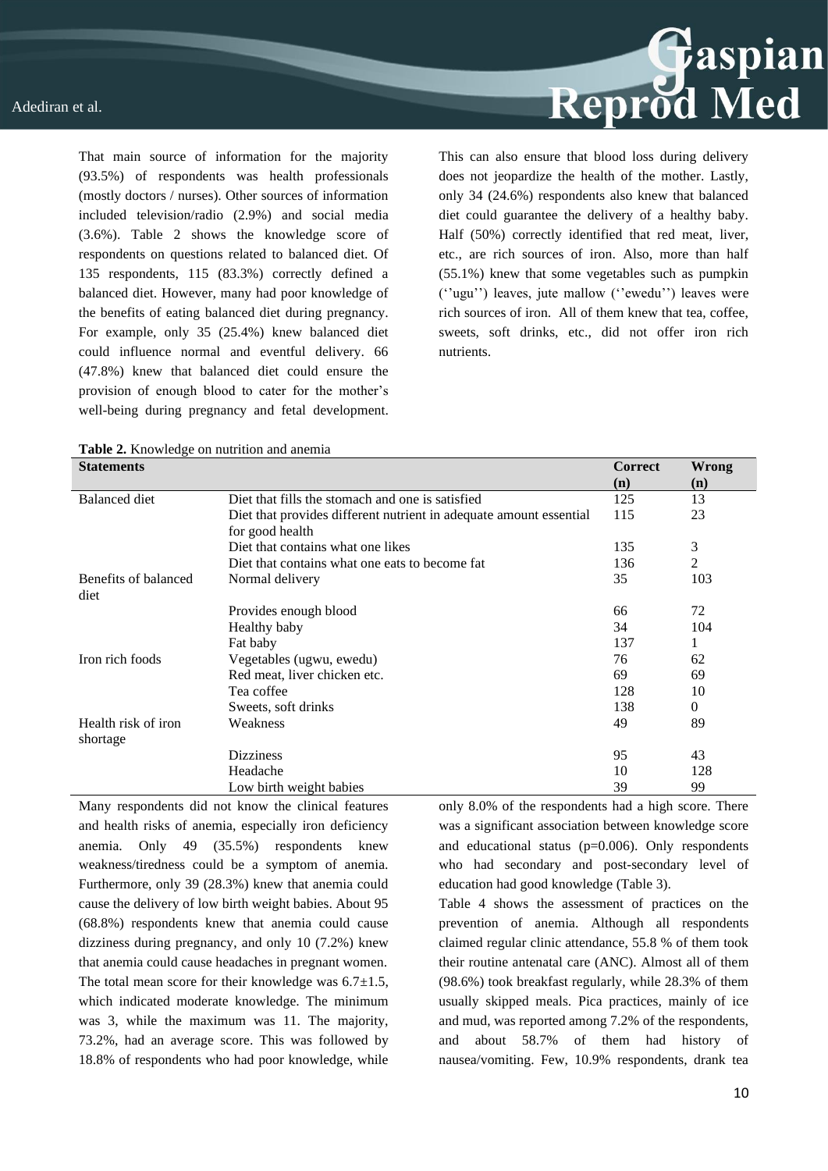

That main source of information for the majority (93.5%) of respondents was health professionals (mostly doctors / nurses). Other sources of information included television/radio (2.9%) and social media (3.6%). Table 2 shows the knowledge score of respondents on questions related to balanced diet. Of 135 respondents, 115 (83.3%) correctly defined a balanced diet. However, many had poor knowledge of the benefits of eating balanced diet during pregnancy. For example, only 35 (25.4%) knew balanced diet could influence normal and eventful delivery. 66 (47.8%) knew that balanced diet could ensure the provision of enough blood to cater for the mother's well-being during pregnancy and fetal development.

This can also ensure that blood loss during delivery does not jeopardize the health of the mother. Lastly, only 34 (24.6%) respondents also knew that balanced diet could guarantee the delivery of a healthy baby. Half (50%) correctly identified that red meat, liver, etc., are rich sources of iron. Also, more than half (55.1%) knew that some vegetables such as pumpkin (''ugu'') leaves, jute mallow (''ewedu'') leaves were rich sources of iron. All of them knew that tea, coffee, sweets, soft drinks, etc., did not offer iron rich nutrients.

| <b>Statements</b>    |                                                                    | <b>Correct</b> | Wrong    |
|----------------------|--------------------------------------------------------------------|----------------|----------|
|                      |                                                                    | (n)            | (n)      |
| <b>Balanced</b> diet | Diet that fills the stomach and one is satisfied                   | 125            | 13       |
|                      | Diet that provides different nutrient in adequate amount essential | 115            | 23       |
|                      | for good health                                                    |                |          |
|                      | Diet that contains what one likes                                  | 135            | 3        |
|                      | Diet that contains what one eats to become fat.                    | 136            | 2        |
| Benefits of balanced | Normal delivery                                                    | 35             | 103      |
| diet                 |                                                                    |                |          |
|                      | Provides enough blood                                              | 66             | 72       |
|                      | Healthy baby                                                       | 34             | 104      |
|                      | Fat baby                                                           | 137            | 1        |
| Iron rich foods      | Vegetables (ugwu, ewedu)                                           | 76             | 62       |
|                      | Red meat, liver chicken etc.                                       | 69             | 69       |
|                      | Tea coffee                                                         | 128            | 10       |
|                      | Sweets, soft drinks                                                | 138            | $\theta$ |
| Health risk of iron  | Weakness                                                           | 49             | 89       |
| shortage             |                                                                    |                |          |
|                      | <b>Dizziness</b>                                                   | 95             | 43       |
|                      | Headache                                                           | 10             | 128      |
|                      | Low birth weight babies                                            | 39             | 99       |

Many respondents did not know the clinical features and health risks of anemia, especially iron deficiency anemia. Only 49 (35.5%) respondents knew weakness/tiredness could be a symptom of anemia. Furthermore, only 39 (28.3%) knew that anemia could cause the delivery of low birth weight babies. About 95 (68.8%) respondents knew that anemia could cause dizziness during pregnancy, and only 10 (7.2%) knew that anemia could cause headaches in pregnant women. The total mean score for their knowledge was  $6.7 \pm 1.5$ , which indicated moderate knowledge. The minimum was 3, while the maximum was 11. The majority, 73.2%, had an average score. This was followed by 18.8% of respondents who had poor knowledge, while

only 8.0% of the respondents had a high score. There was a significant association between knowledge score and educational status  $(p=0.006)$ . Only respondents who had secondary and post-secondary level of education had good knowledge (Table 3).

Table 4 shows the assessment of practices on the prevention of anemia. Although all respondents claimed regular clinic attendance, 55.8 % of them took their routine antenatal care (ANC). Almost all of them (98.6%) took breakfast regularly, while 28.3% of them usually skipped meals. Pica practices, mainly of ice and mud, was reported among 7.2% of the respondents, and about 58.7% of them had history of nausea/vomiting. Few, 10.9% respondents, drank tea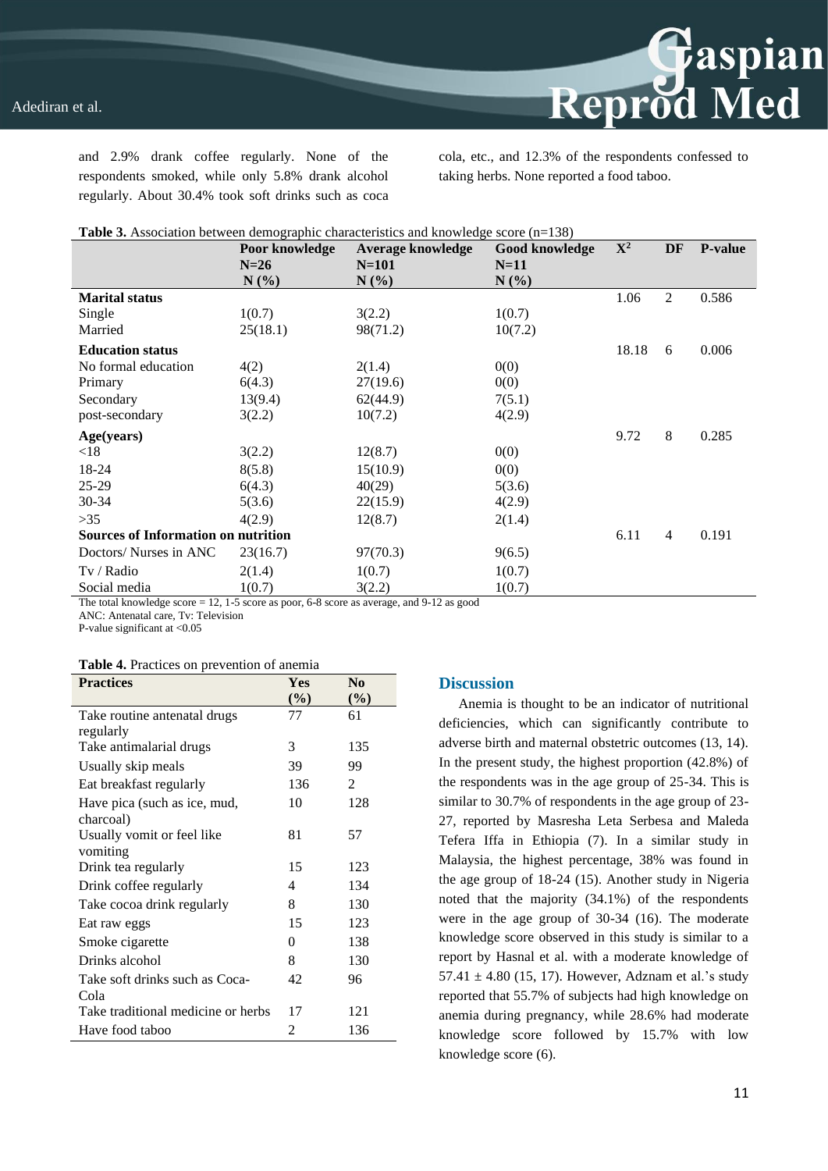and 2.9% drank coffee regularly. None of the respondents smoked, while only 5.8% drank alcohol regularly. About 30.4% took soft drinks such as coca cola, etc., and 12.3% of the respondents confessed to taking herbs. None reported a food taboo.

Reprod Med

| <b>Table 3.</b> Association between demographic characteristics and knowledge score $(n=138)$ |                |                          |                |             |                |         |
|-----------------------------------------------------------------------------------------------|----------------|--------------------------|----------------|-------------|----------------|---------|
|                                                                                               | Poor knowledge | <b>Average knowledge</b> | Good knowledge | ${\bf X}^2$ | DF             | P-value |
|                                                                                               | $N=26$         | $N=101$                  | $N=11$         |             |                |         |
|                                                                                               | $N(\%)$        | $N(\%)$                  | $N(\%)$        |             |                |         |
| <b>Marital status</b>                                                                         |                |                          |                | 1.06        | 2              | 0.586   |
| Single                                                                                        | 1(0.7)         | 3(2.2)                   | 1(0.7)         |             |                |         |
| Married                                                                                       | 25(18.1)       | 98(71.2)                 | 10(7.2)        |             |                |         |
| <b>Education status</b>                                                                       |                |                          |                | 18.18       | 6              | 0.006   |
| No formal education                                                                           | 4(2)           | 2(1.4)                   | 0(0)           |             |                |         |
| Primary                                                                                       | 6(4.3)         | 27(19.6)                 | 0(0)           |             |                |         |
| Secondary                                                                                     | 13(9.4)        | 62(44.9)                 | 7(5.1)         |             |                |         |
| post-secondary                                                                                | 3(2.2)         | 10(7.2)                  | 4(2.9)         |             |                |         |
| Age(years)                                                                                    |                |                          |                | 9.72        | 8              | 0.285   |
| < 18                                                                                          | 3(2.2)         | 12(8.7)                  | 0(0)           |             |                |         |
| 18-24                                                                                         | 8(5.8)         | 15(10.9)                 | 0(0)           |             |                |         |
| $25-29$                                                                                       | 6(4.3)         | 40(29)                   | 5(3.6)         |             |                |         |
| 30-34                                                                                         | 5(3.6)         | 22(15.9)                 | 4(2.9)         |             |                |         |
| $>35$                                                                                         | 4(2.9)         | 12(8.7)                  | 2(1.4)         |             |                |         |
| <b>Sources of Information on nutrition</b>                                                    |                |                          |                | 6.11        | $\overline{4}$ | 0.191   |
| Doctors/ Nurses in ANC                                                                        | 23(16.7)       | 97(70.3)                 | 9(6.5)         |             |                |         |
| Tv / Radio                                                                                    | 2(1.4)         | 1(0.7)                   | 1(0.7)         |             |                |         |
| Social media                                                                                  | 1(0.7)         | 3(2.2)                   | 1(0.7)         |             |                |         |

The total knowledge score = 12, 1-5 score as poor, 6-8 score as average, and 9-12 as good

ANC: Antenatal care, Tv: Television

P-value significant at <0.05

| Table 4. Practices on prevention of anemia |  |
|--------------------------------------------|--|
|--------------------------------------------|--|

| <b>Practices</b>                   | Yes            | N <sub>0</sub> |
|------------------------------------|----------------|----------------|
|                                    | $(\%)$         | $(\%)$         |
| Take routine antenatal drugs       | 77             | 61             |
| regularly                          |                |                |
| Take antimalarial drugs            | 3              | 135            |
| Usually skip meals                 | 39             | 99             |
| Eat breakfast regularly            | 136            | $\mathfrak{D}$ |
| Have pica (such as ice, mud,       | 10             | 128            |
| charcoal)                          |                |                |
| Usually vomit or feel like         | 81             | 57             |
| vomiting                           |                |                |
| Drink tea regularly                | 15             | 123            |
| Drink coffee regularly             | 4              | 134            |
| Take cocoa drink regularly         | 8              | 130            |
| Eat raw eggs                       | 15             | 123            |
| Smoke cigarette                    | 0              | 138            |
| Drinks alcohol                     | 8              | 130            |
| Take soft drinks such as Coca-     | 42             | 96             |
| Cola                               |                |                |
| Take traditional medicine or herbs | 17             | 121            |
| Have food taboo                    | $\mathfrak{D}$ | 136            |

## **Discussion**

Anemia is thought to be an indicator of nutritional deficiencies, which can significantly contribute to adverse birth and maternal obstetric outcomes (13, 14). In the present study, the highest proportion (42.8%) of the respondents was in the age group of 25-34. This is similar to 30.7% of respondents in the age group of 23- 27, reported by Masresha Leta Serbesa and Maleda Tefera Iffa in Ethiopia (7). In a similar study in Malaysia, the highest percentage, 38% was found in the age group of 18-24 (15). Another study in Nigeria noted that the majority (34.1%) of the respondents were in the age group of 30-34 (16). The moderate knowledge score observed in this study is similar to a report by Hasnal et al. with a moderate knowledge of 57.41  $\pm$  4.80 (15, 17). However, Adznam et al.'s study reported that 55.7% of subjects had high knowledge on anemia during pregnancy, while 28.6% had moderate knowledge score followed by 15.7% with low knowledge score (6).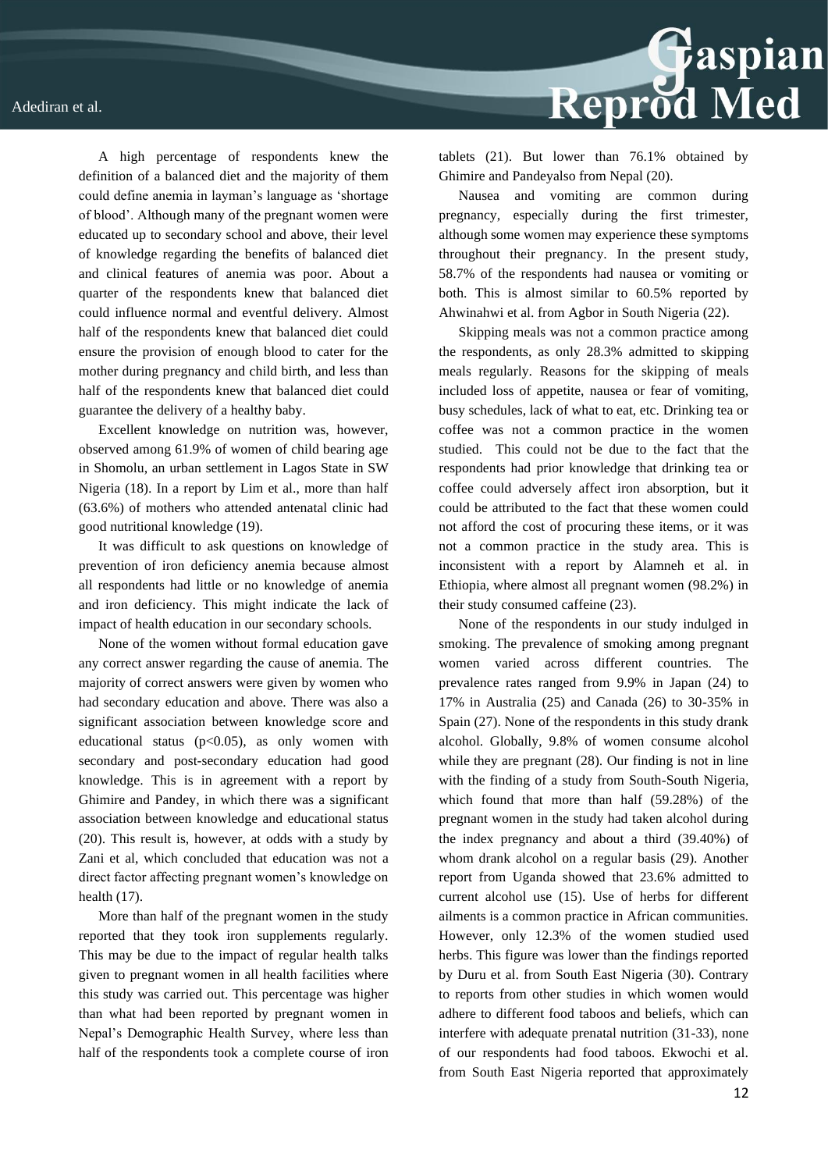

A high percentage of respondents knew the definition of a balanced diet and the majority of them could define anemia in layman's language as 'shortage of blood'. Although many of the pregnant women were educated up to secondary school and above, their level of knowledge regarding the benefits of balanced diet and clinical features of anemia was poor. About a quarter of the respondents knew that balanced diet could influence normal and eventful delivery. Almost half of the respondents knew that balanced diet could ensure the provision of enough blood to cater for the mother during pregnancy and child birth, and less than half of the respondents knew that balanced diet could guarantee the delivery of a healthy baby.

Excellent knowledge on nutrition was, however, observed among 61.9% of women of child bearing age in Shomolu, an urban settlement in Lagos State in SW Nigeria (18). In a report by Lim et al., more than half (63.6%) of mothers who attended antenatal clinic had good nutritional knowledge (19).

It was difficult to ask questions on knowledge of prevention of iron deficiency anemia because almost all respondents had little or no knowledge of anemia and iron deficiency. This might indicate the lack of impact of health education in our secondary schools.

None of the women without formal education gave any correct answer regarding the cause of anemia. The majority of correct answers were given by women who had secondary education and above. There was also a significant association between knowledge score and educational status  $(p<0.05)$ , as only women with secondary and post-secondary education had good knowledge. This is in agreement with a report by Ghimire and Pandey, in which there was a significant association between knowledge and educational status (20). This result is, however, at odds with a study by Zani et al, which concluded that education was not a direct factor affecting pregnant women's knowledge on health (17).

More than half of the pregnant women in the study reported that they took iron supplements regularly. This may be due to the impact of regular health talks given to pregnant women in all health facilities where this study was carried out. This percentage was higher than what had been reported by pregnant women in Nepal's Demographic Health Survey, where less than half of the respondents took a complete course of iron

tablets (21). But lower than 76.1% obtained by Ghimire and Pandeyalso from Nepal (20).

Nausea and vomiting are common during pregnancy, especially during the first trimester, although some women may experience these symptoms throughout their pregnancy. In the present study, 58.7% of the respondents had nausea or vomiting or both. This is almost similar to 60.5% reported by Ahwinahwi et al. from Agbor in South Nigeria (22).

Skipping meals was not a common practice among the respondents, as only 28.3% admitted to skipping meals regularly. Reasons for the skipping of meals included loss of appetite, nausea or fear of vomiting, busy schedules, lack of what to eat, etc. Drinking tea or coffee was not a common practice in the women studied. This could not be due to the fact that the respondents had prior knowledge that drinking tea or coffee could adversely affect iron absorption, but it could be attributed to the fact that these women could not afford the cost of procuring these items, or it was not a common practice in the study area. This is inconsistent with a report by Alamneh et al. in Ethiopia, where almost all pregnant women (98.2%) in their study consumed caffeine (23).

None of the respondents in our study indulged in smoking. The prevalence of smoking among pregnant women varied across different countries. The prevalence rates ranged from 9.9% in Japan (24) to 17% in Australia (25) and Canada (26) to 30-35% in Spain (27). None of the respondents in this study drank alcohol. Globally, 9.8% of women consume alcohol while they are pregnant (28). Our finding is not in line with the finding of a study from South-South Nigeria, which found that more than half (59.28%) of the pregnant women in the study had taken alcohol during the index pregnancy and about a third (39.40%) of whom drank alcohol on a regular basis (29). Another report from Uganda showed that 23.6% admitted to current alcohol use (15). Use of herbs for different ailments is a common practice in African communities. However, only 12.3% of the women studied used herbs. This figure was lower than the findings reported by Duru et al. from South East Nigeria (30). Contrary to reports from other studies in which women would adhere to different food taboos and beliefs, which can interfere with adequate prenatal nutrition (31-33), none of our respondents had food taboos. Ekwochi et al. from South East Nigeria reported that approximately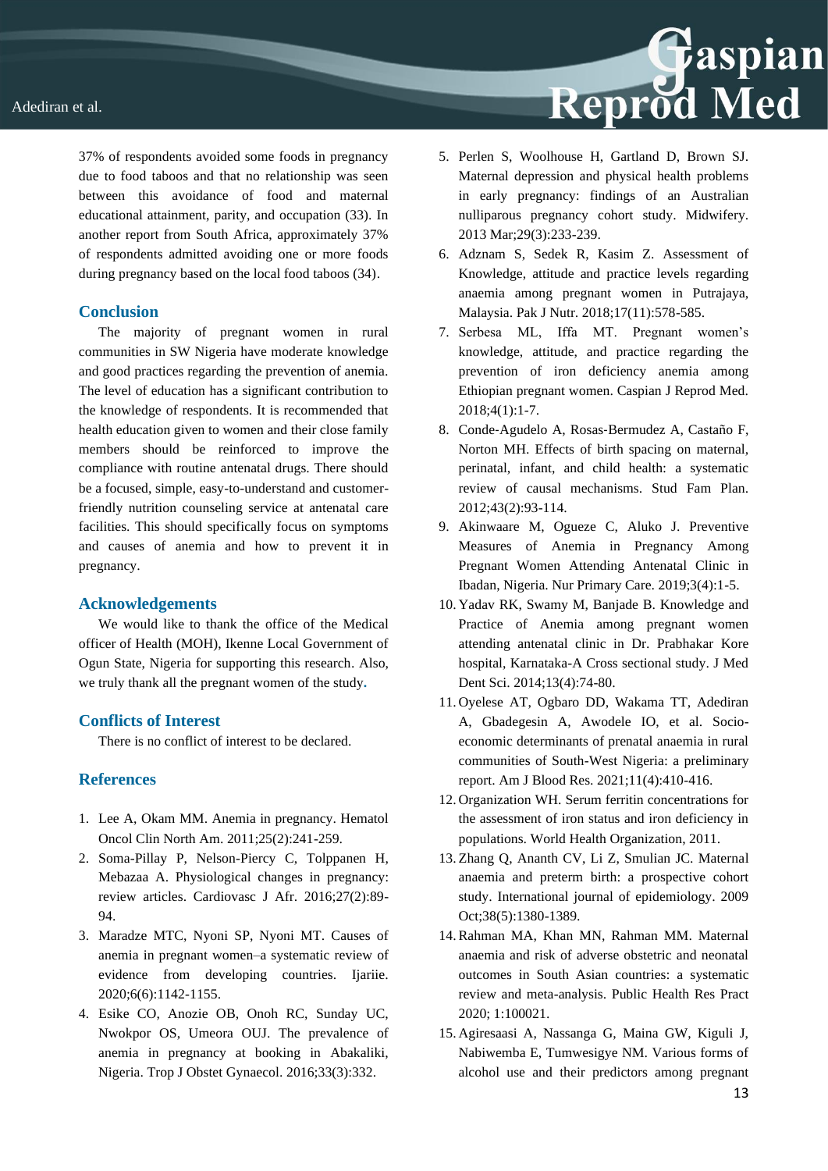

37% of respondents avoided some foods in pregnancy due to food taboos and that no relationship was seen between this avoidance of food and maternal educational attainment, parity, and occupation (33). In another report from South Africa, approximately 37% of respondents admitted avoiding one or more foods during pregnancy based on the local food taboos (34).

## **Conclusion**

The majority of pregnant women in rural communities in SW Nigeria have moderate knowledge and good practices regarding the prevention of anemia. The level of education has a significant contribution to the knowledge of respondents. It is recommended that health education given to women and their close family members should be reinforced to improve the compliance with routine antenatal drugs. There should be a focused, simple, easy-to-understand and customerfriendly nutrition counseling service at antenatal care facilities. This should specifically focus on symptoms and causes of anemia and how to prevent it in pregnancy.

## **Acknowledgements**

We would like to thank the office of the Medical officer of Health (MOH), Ikenne Local Government of Ogun State, Nigeria for supporting this research. Also, we truly thank all the pregnant women of the study**.**

## **Conflicts of Interest**

There is no conflict of interest to be declared.

## **References**

- 1. Lee A, Okam MM. Anemia in pregnancy. Hematol Oncol Clin North Am. 2011;25(2):241-259.
- 2. Soma-Pillay P, Nelson-Piercy C, Tolppanen H, Mebazaa A. Physiological changes in pregnancy: review articles. Cardiovasc J Afr. 2016;27(2):89- 94.
- 3. Maradze MTC, Nyoni SP, Nyoni MT. Causes of anemia in pregnant women–a systematic review of evidence from developing countries. Ijariie. 2020;6(6):1142-1155.
- 4. Esike CO, Anozie OB, Onoh RC, Sunday UC, Nwokpor OS, Umeora OUJ. The prevalence of anemia in pregnancy at booking in Abakaliki, Nigeria. Trop J Obstet Gynaecol. 2016;33(3):332.

5. Perlen S, Woolhouse H, Gartland D, Brown SJ. Maternal depression and physical health problems in early pregnancy: findings of an Australian nulliparous pregnancy cohort study. Midwifery. 2013 Mar;29(3):233-239.

Reprod Med

- 6. Adznam S, Sedek R, Kasim Z. Assessment of Knowledge, attitude and practice levels regarding anaemia among pregnant women in Putrajaya, Malaysia. Pak J Nutr. 2018;17(11):578-585.
- 7. Serbesa ML, Iffa MT. Pregnant women's knowledge, attitude, and practice regarding the prevention of iron deficiency anemia among Ethiopian pregnant women. Caspian J Reprod Med. 2018;4(1):1-7.
- 8. Conde‐Agudelo A, Rosas‐Bermudez A, Castaño F, Norton MH. Effects of birth spacing on maternal, perinatal, infant, and child health: a systematic review of causal mechanisms. Stud Fam Plan. 2012;43(2):93-114.
- 9. Akinwaare M, Ogueze C, Aluko J. Preventive Measures of Anemia in Pregnancy Among Pregnant Women Attending Antenatal Clinic in Ibadan, Nigeria. Nur Primary Care. 2019;3(4):1-5.
- 10. Yadav RK, Swamy M, Banjade B. Knowledge and Practice of Anemia among pregnant women attending antenatal clinic in Dr. Prabhakar Kore hospital, Karnataka-A Cross sectional study. J Med Dent Sci. 2014;13(4):74-80.
- 11. Oyelese AT, Ogbaro DD, Wakama TT, Adediran A, Gbadegesin A, Awodele IO, et al. Socioeconomic determinants of prenatal anaemia in rural communities of South-West Nigeria: a preliminary report. Am J Blood Res. 2021;11(4):410-416.
- 12. Organization WH. Serum ferritin concentrations for the assessment of iron status and iron deficiency in populations. World Health Organization, 2011.
- 13. Zhang Q, Ananth CV, Li Z, Smulian JC. Maternal anaemia and preterm birth: a prospective cohort study. International journal of epidemiology. 2009 Oct;38(5):1380-1389.
- 14.Rahman MA, Khan MN, Rahman MM. Maternal anaemia and risk of adverse obstetric and neonatal outcomes in South Asian countries: a systematic review and meta-analysis. Public Health Res Pract 2020; 1:100021.
- 15. Agiresaasi A, Nassanga G, Maina GW, Kiguli J, Nabiwemba E, Tumwesigye NM. Various forms of alcohol use and their predictors among pregnant